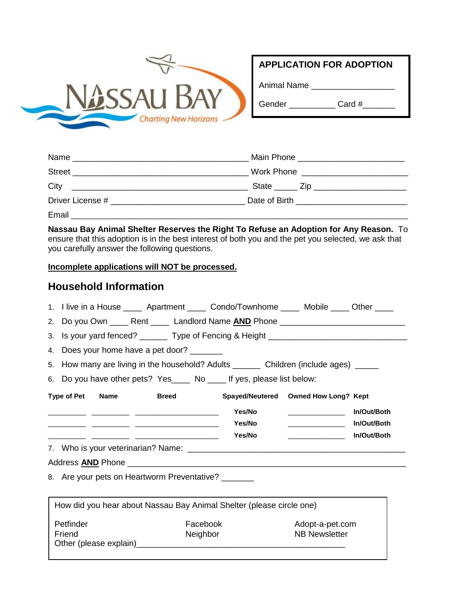

## **APPLICATION FOR ADOPTION**

Animal Name \_\_\_\_\_\_\_\_\_\_\_\_\_\_\_\_\_\_

Gender \_\_\_\_\_\_\_\_\_\_\_\_\_\_ Card #\_\_\_\_\_\_\_\_

| Name<br><u> 2000 - 2000 - 2000 - 2000 - 2000 - 2000 - 2000 - 2000 - 2000 - 2000 - 2000 - 2000 - 2000 - 2000 - 2000 - 200</u>          | Main Phone ___________________________ |
|---------------------------------------------------------------------------------------------------------------------------------------|----------------------------------------|
| <b>Street</b><br><u> 2000 - Jan James James Jan James James Jan James James Jan James James Jan Jan James Jan Jan Jan Jan Jan Jan</u> | Work Phone __________________________  |
| City                                                                                                                                  |                                        |
| Driver License #                                                                                                                      |                                        |
| Email                                                                                                                                 |                                        |

**Nassau Bay Animal Shelter Reserves the Right To Refuse an Adoption for Any Reason.** To ensure that this adoption is in the best interest of both you and the pet you selected, we ask that you carefully answer the following questions.

## **Incomplete applications will NOT be processed.**

# **Household Information**

|                                                                      | 1. I live in a House _____ Apartment _____ Condo/Townhome _____ Mobile _____ Other ____ |          |        |                                                                                                                                      |             |  |  |
|----------------------------------------------------------------------|-----------------------------------------------------------------------------------------|----------|--------|--------------------------------------------------------------------------------------------------------------------------------------|-------------|--|--|
|                                                                      | 2. Do you Own _____ Rent _____ Landlord Name AND Phone _________________________        |          |        |                                                                                                                                      |             |  |  |
| 3.                                                                   | Is your yard fenced? ________ Type of Fencing & Height _________________________        |          |        |                                                                                                                                      |             |  |  |
|                                                                      | 4. Does your home have a pet door?                                                      |          |        |                                                                                                                                      |             |  |  |
|                                                                      | 5. How many are living in the household? Adults ________ Children (include ages) _____  |          |        |                                                                                                                                      |             |  |  |
|                                                                      | 6. Do you have other pets? Yes _____ No _____ If yes, please list below:                |          |        |                                                                                                                                      |             |  |  |
|                                                                      | Type of Pet Name Breed                                                                  |          |        | Spayed/Neutered Owned How Long? Kept                                                                                                 |             |  |  |
|                                                                      |                                                                                         |          | Yes/No | $\begin{array}{c} \begin{array}{c} \begin{array}{c} \begin{array}{c} \end{array} \\ \end{array} \end{array} \end{array} \end{array}$ | In/Out/Both |  |  |
|                                                                      |                                                                                         |          | Yes/No |                                                                                                                                      | In/Out/Both |  |  |
|                                                                      |                                                                                         |          | Yes/No |                                                                                                                                      | In/Out/Both |  |  |
|                                                                      |                                                                                         |          |        |                                                                                                                                      |             |  |  |
|                                                                      |                                                                                         |          |        |                                                                                                                                      |             |  |  |
|                                                                      | 8. Are your pets on Heartworm Preventative? _______                                     |          |        |                                                                                                                                      |             |  |  |
|                                                                      |                                                                                         |          |        |                                                                                                                                      |             |  |  |
| How did you hear about Nassau Bay Animal Shelter (please circle one) |                                                                                         |          |        |                                                                                                                                      |             |  |  |
|                                                                      | Petfinder                                                                               | Facebook |        | Adopt-a-pet.com                                                                                                                      |             |  |  |
|                                                                      | Friend                                                                                  | Neighbor |        | <b>NB Newsletter</b>                                                                                                                 |             |  |  |
|                                                                      |                                                                                         |          |        |                                                                                                                                      |             |  |  |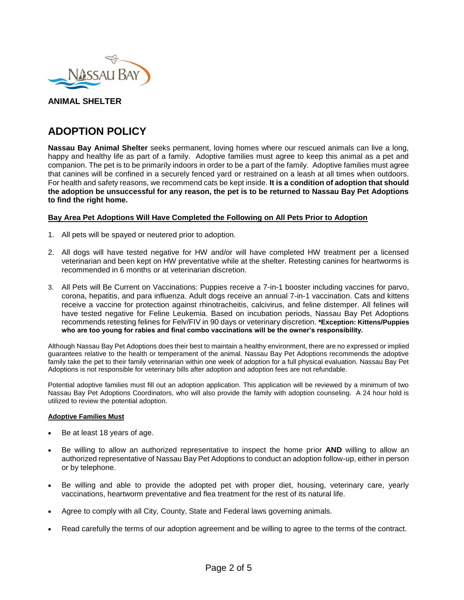

**ANIMAL SHELTER**

# **ADOPTION POLICY**

**Nassau Bay Animal Shelter** seeks permanent, loving homes where our rescued animals can live a long, happy and healthy life as part of a family. Adoptive families must agree to keep this animal as a pet and companion. The pet is to be primarily indoors in order to be a part of the family. Adoptive families must agree that canines will be confined in a securely fenced yard or restrained on a leash at all times when outdoors. For health and safety reasons, we recommend cats be kept inside. **It is a condition of adoption that should the adoption be unsuccessful for any reason, the pet is to be returned to Nassau Bay Pet Adoptions to find the right home.**

## **Bay Area Pet Adoptions Will Have Completed the Following on All Pets Prior to Adoption**

- 1. All pets will be spayed or neutered prior to adoption.
- 2. All dogs will have tested negative for HW and/or will have completed HW treatment per a licensed veterinarian and been kept on HW preventative while at the shelter. Retesting canines for heartworms is recommended in 6 months or at veterinarian discretion.
- 3. All Pets will Be Current on Vaccinations: Puppies receive a 7-in-1 booster including vaccines for parvo, corona, hepatitis, and para influenza. Adult dogs receive an annual 7-in-1 vaccination. Cats and kittens receive a vaccine for protection against rhinotracheitis, calcivirus, and feline distemper. All felines will have tested negative for Feline Leukemia. Based on incubation periods, Nassau Bay Pet Adoptions recommends retesting felines for Felv/FIV in 90 days or veterinary discretion. **\*Exception: Kittens/Puppies who are too young for rabies and final combo vaccinations will be the owner's responsibility.**

Although Nassau Bay Pet Adoptions does their best to maintain a healthy environment, there are no expressed or implied guarantees relative to the health or temperament of the animal. Nassau Bay Pet Adoptions recommends the adoptive family take the pet to their family veterinarian within one week of adoption for a full physical evaluation. Nassau Bay Pet Adoptions is not responsible for veterinary bills after adoption and adoption fees are not refundable.

Potential adoptive families must fill out an adoption application. This application will be reviewed by a minimum of two Nassau Bay Pet Adoptions Coordinators, who will also provide the family with adoption counseling. A 24 hour hold is utilized to review the potential adoption.

## **Adoptive Families Must**

- Be at least 18 years of age.
- Be willing to allow an authorized representative to inspect the home prior **AND** willing to allow an authorized representative of Nassau Bay Pet Adoptions to conduct an adoption follow-up, either in person or by telephone.
- Be willing and able to provide the adopted pet with proper diet, housing, veterinary care, yearly vaccinations, heartworm preventative and flea treatment for the rest of its natural life.
- Agree to comply with all City, County, State and Federal laws governing animals.
- Read carefully the terms of our adoption agreement and be willing to agree to the terms of the contract.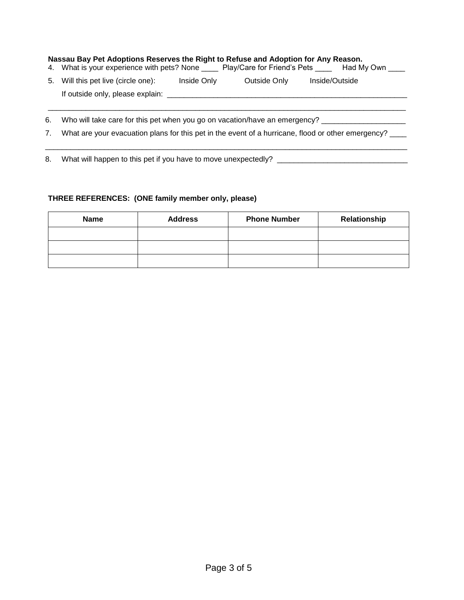## **Nassau Bay Pet Adoptions Reserves the Right to Refuse and Adoption for Any Reason.**

|    | 4. What is your experience with pets? None _____ Play/Care for Friend's Pets                       |             |              | Had My Own     |  |
|----|----------------------------------------------------------------------------------------------------|-------------|--------------|----------------|--|
| 5. | Will this pet live (circle one):                                                                   | Inside Only | Outside Only | Inside/Outside |  |
|    | If outside only, please explain: _____                                                             |             |              |                |  |
| 6. | Who will take care for this pet when you go on vacation/have an emergency?                         |             |              |                |  |
|    |                                                                                                    |             |              |                |  |
| 7. | What are your evacuation plans for this pet in the event of a hurricane, flood or other emergency? |             |              |                |  |

8. What will happen to this pet if you have to move unexpectedly? \_\_\_\_\_\_\_\_\_\_\_\_\_\_\_\_\_\_\_\_\_\_\_\_\_\_\_\_\_\_\_

## **THREE REFERENCES: (ONE family member only, please)**

| Name | <b>Address</b> | <b>Phone Number</b> | Relationship |
|------|----------------|---------------------|--------------|
|      |                |                     |              |
|      |                |                     |              |
|      |                |                     |              |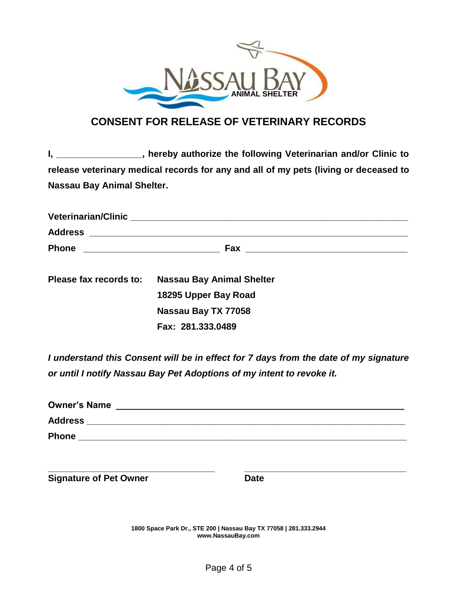

# **CONSENT FOR RELEASE OF VETERINARY RECORDS**

**I, \_\_\_\_\_\_\_\_\_\_\_\_\_\_\_\_\_, hereby authorize the following Veterinarian and/or Clinic to release veterinary medical records for any and all of my pets (living or deceased to Nassau Bay Animal Shelter.**

| <b>Veterinarian/Clinic</b> |                                                                                                                             |  |
|----------------------------|-----------------------------------------------------------------------------------------------------------------------------|--|
| <b>Address</b>             | <u> 1999 - Jan James Barnett, mars and de la participation de la participation de la participation de la particip</u>       |  |
| <b>Phone</b>               | Fax<br><u> 2001 - Jan Barbarat, manazarta da kasas da shekara 1992 - Andrea Andrew Alexandro a San Andrew Alexandro a S</u> |  |
|                            | Dlagas fay usaayda ta  Naqaay Day Animal Obaltay                                                                            |  |

| Please fax records to: | <b>Nassau Bay Animal Shelter</b> |  |  |
|------------------------|----------------------------------|--|--|
|                        | 18295 Upper Bay Road             |  |  |
|                        | Nassau Bay TX 77058              |  |  |
|                        | Fax: 281.333.0489                |  |  |

*I understand this Consent will be in effect for 7 days from the date of my signature or until I notify Nassau Bay Pet Adoptions of my intent to revoke it.*

| <b>Owner's Name</b> |  |  |  |
|---------------------|--|--|--|
| <b>Address</b>      |  |  |  |
| <b>Phone</b>        |  |  |  |
|                     |  |  |  |

**\_\_\_\_\_\_\_\_\_\_\_\_\_\_\_\_\_\_\_\_\_\_\_\_\_\_\_\_\_\_\_\_\_ \_\_\_\_\_\_\_\_\_\_\_\_\_\_\_\_\_\_\_\_\_\_\_\_\_\_\_\_\_\_\_\_ Signature of Pet Owner Date** 

**1800 Space Park Dr., STE 200 | Nassau Bay TX 77058 | 281.333.2944 www.NassauBay.com**